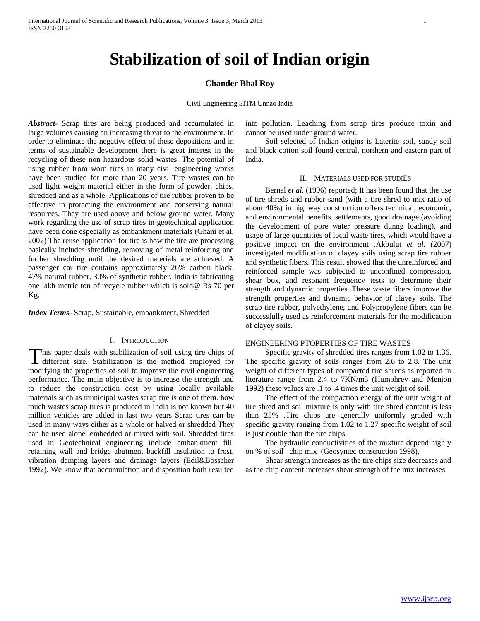# **Stabilization of soil of Indian origin**

## **Chander Bhal Roy**

Civil Engineering SITM Unnao India

*Abstract***-** Scrap tires are being produced and accumulated in large volumes causing an increasing threat to the environment. In order to eliminate the negative effect of these depositions and in terms of sustainable development there is great interest in the recycling of these non hazardous solid wastes. The potential of using rubber from worn tires in many civil engineering works have been studied for more than 20 years. Tire wastes can be used light weight material either in the form of powder, chips, shredded and as a whole. Applications of tire rubber proven to be effective in protecting the environment and conserving natural resources. They are used above and below ground water. Many work regarding the use of scrap tires in geotechnical application have been done especially as embankment materials (Ghani et al, 2002) The reuse application for tire is how the tire are processing basically includes shredding, removing of metal reinforcing and further shredding until the desired materials are achieved. A passenger car tire contains approximately 26% carbon black, 47% natural rubber, 30% of synthetic rubber. India is fabricating one lakh metric ton of recycle rubber which is sold@ Rs 70 per Kg.

*Index Terms*- Scrap, Sustainable, embankment, Shredded

## I. INTRODUCTION

This paper deals with stabilization of soil using tire chips of This paper deals with stabilization of soil using tire chips of different size. Stabilization is the method employed for modifying the properties of soil to improve the civil engineering performance. The main objective is to increase the strength and to reduce the construction cost by using locally available materials such as municipal wastes scrap tire is one of them. how much wastes scrap tires is produced in India is not known but 40 million vehicles are added in last two years Scrap tires can be used in many ways either as a whole or halved or shredded They can be used alone ,embedded or mixed with soil. Shredded tires used in Geotechnical engineering include embankment fill, retaining wall and bridge abutment backfill insulation to frost, vibration damping layers and drainage layers (Edil&Bosscher 1992). We know that accumulation and disposition both resulted

into pollution. Leaching from scrap tires produce toxin and cannot be used under ground water.

 Soil selected of Indian origins is Laterite soil, sandy soil and black cotton soil found central, northern and eastern part of India.

### II. MATERIALS USED FOR STUDIES

Bernal *et al.* (1996) reported; It has been found that the use of tire shreds and rubber-sand (with a tire shred to mix ratio of about 40%) in highway construction offers technical, economic, and environmental benefits. settlements, good drainage (avoiding the development of pore water pressure dunng loading), and usage of large quantities of local waste tires, which would have a positive impact on the environment .Akbulut *et al.* (2007) investigated modification of clayey soils using scrap tire rubber and synthetic fibers. This result showed that the unreinforced and reinforced sample was subjected to unconfined compression, shear box, and resonant frequency tests to determine their strength and dynamic properties. These waste fibers improve the strength properties and dynamic behavior of clayey soils. The scrap tire rubber, polyethylene, and Polypropylene fibers can be successfully used as reinforcement materials for the modification of clayey soils.

#### ENGINEERING PTOPERTIES OF TIRE WASTES

 Specific gravity of shredded tires ranges from 1.02 to 1.36. The specific gravity of soils ranges from 2.6 to 2.8. The unit weight of different types of compacted tire shreds as reported in literature range from 2.4 to 7KN/m3 (Humphrey and Menion 1992) these values are .1 to .4 times the unit weight of soil.

 The effect of the compaction energy of the unit weight of tire shred and soil mixture is only with tire shred content is less than 25% .Tire chips are generally uniformly graded with specific gravity ranging from 1.02 to 1.27 specific weight of soil is just double than the tire chips.

 The hydraulic conductivities of the mixture depend highly on % of soil –chip mix (Geosyntec construction 1998).

 Shear strength increases as the tire chips size decreases and as the chip content increases shear strength of the mix increases.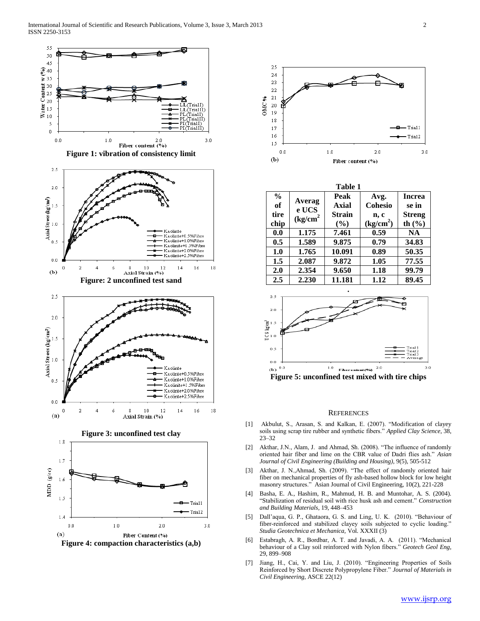



| Table 1       |                                                       |               |                       |               |
|---------------|-------------------------------------------------------|---------------|-----------------------|---------------|
| $\frac{6}{9}$ | Averag                                                | Peak          | Avg.                  | <b>Increa</b> |
| of            | e UCS<br>$\left(\frac{\text{kg}}{\text{cm}^2}\right)$ | Axial         | Cohesio               | se in         |
| tire          |                                                       | <b>Strain</b> | n, c                  | <b>Streng</b> |
| chip          |                                                       | (%)           | (kg/cm <sup>2</sup> ) | th $(\% )$    |
| 0.0           | 1.175                                                 | 7.461         | 0.59                  | NA.           |
| 0.5           | 1.589                                                 | 9.875         | 0.79                  | 34.83         |
| 1.0           | 1.765                                                 | 10.091        | 0.89                  | 50.35         |
| 1.5           | 2.087                                                 | 9.872         | 1.05                  | 77.55         |
| 2.0           | 2.354                                                 | 9.650         | 1.18                  | 99.79         |
| 2.5           | 2.230                                                 | 11.181        | 1.12                  | 89.45         |



#### **REFERENCES**

- [1] Akbulut, S., Arasan, S. and Kalkan, E. (2007). "Modification of clayey soils using scrap tire rubber and synthetic fibers." *Applied Clay Science,* 38, 23–32
- [2] Akthar, J.N., Alam, J. and Ahmad, Sh. (2008). "The influence of randomly oriented hair fiber and lime on the CBR value of Dadri flies ash." *Asian Journal of Civil Engineering (Building and Housing),* 9(5), 505-512
- [3] Akthar, J. N., Ahmad, Sh. (2009). "The effect of randomly oriented hair fiber on mechanical properties of fly ash-based hollow block for low height masonry structures."Asian Journal of Civil Engineering, 10(2), 221-228
- [4] Basha, E. A., Hashim, R., Mahmud, H. B. and Muntohar, A. S. (2004). "Stabilization of residual soil with rice husk ash and cement." *Construction and Building Materials,* 19, 448–453
- [5] Dall'aqua, G. P., Ghataora, G. S. and Ling, U. K. (2010). "Behaviour of fiber-reinforced and stabilized clayey soils subjected to cyclic loading." *Studia Geotechnica et Mechanica,* Vol. XXXII (3)
- [6] Estabragh, A. R., Bordbar, A. T. and Javadi, A. A. (2011). "Mechanical behaviour of a Clay soil reinforced with Nylon fibers." *Geotech Geol Eng,*  29, 899–908
- [7] Jiang, H., Cai, Y. and Liu, J. (2010). "Engineering Properties of Soils Reinforced by Short Discrete Polypropylene Fiber." *Journal of Materials in Civil Engineering,* ASCE 22(12)